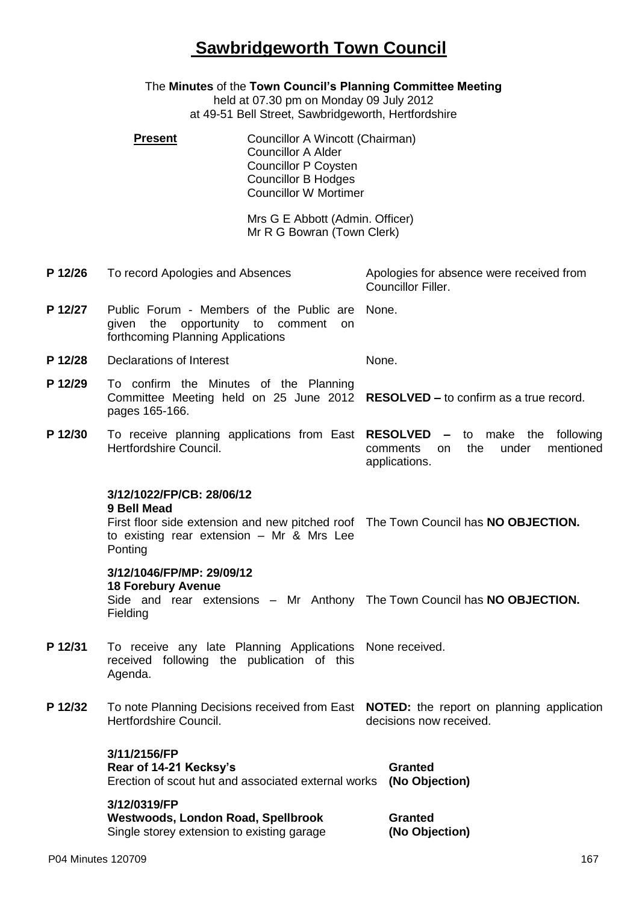## **Sawbridgeworth Town Council**

The **Minutes** of the **Town Council's Planning Committee Meeting** held at 07.30 pm on Monday 09 July 2012 at 49-51 Bell Street, Sawbridgeworth, Hertfordshire **Present Councillor A Wincott (Chairman)** Councillor A Alder Councillor P Coysten Councillor B Hodges Councillor W Mortimer Mrs G E Abbott (Admin. Officer) Mr R G Bowran (Town Clerk) **P 12/26** To record Apologies and Absences Apologies for absence were received from Councillor Filler. **P 12/27** Public Forum - Members of the Public are given the opportunity to comment on forthcoming Planning Applications None. **P 12/28** Declarations of Interest None. **P 12/29** To confirm the Minutes of the Planning Committee Meeting held on 25 June 2012 **RESOLVED –** to confirm as a true record. pages 165-166. **P 12/30** To receive planning applications from East **RESOLVED –** to make the following Hertfordshire Council. comments on the under mentioned applications. **3/12/1022/FP/CB: 28/06/12 9 Bell Mead** First floor side extension and new pitched roof The Town Council has **NO OBJECTION.** to existing rear extension – Mr & Mrs Lee Ponting **3/12/1046/FP/MP: 29/09/12 18 Forebury Avenue** Side and rear extensions – Mr Anthony The Town Council has **NO OBJECTION.** Fielding P 12/31 To receive any late Planning Applications None received. received following the publication of this Agenda. **P 12/32** To note Planning Decisions received from East **NOTED:** the report on planning application Hertfordshire Council. decisions now received. **3/11/2156/FP Rear of 14-21 Kecksy's** Erection of scout hut and associated external works **(No Objection) Granted 3/12/0319/FP Westwoods, London Road, Spellbrook** Single storey extension to existing garage **Granted (No Objection)**